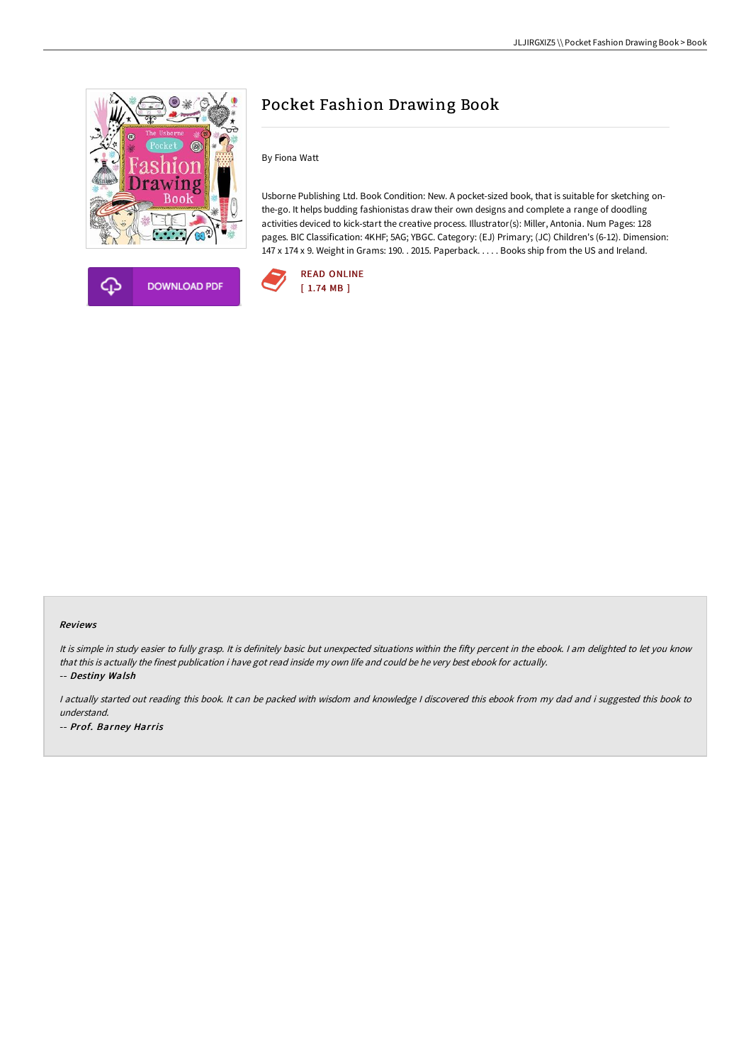



# Pocket Fashion Drawing Book

By Fiona Watt

Usborne Publishing Ltd. Book Condition: New. A pocket-sized book, that is suitable for sketching onthe-go. It helps budding fashionistas draw their own designs and complete a range of doodling activities deviced to kick-start the creative process. Illustrator(s): Miller, Antonia. Num Pages: 128 pages. BIC Classification: 4KHF; 5AG; YBGC. Category: (EJ) Primary; (JC) Children's (6-12). Dimension: 147 x 174 x 9. Weight in Grams: 190. . 2015. Paperback. . . . . Books ship from the US and Ireland.



#### Reviews

It is simple in study easier to fully grasp. It is definitely basic but unexpected situations within the fifty percent in the ebook. I am delighted to let you know that this is actually the finest publication i have got read inside my own life and could be he very best ebook for actually. -- Destiny Walsh

<sup>I</sup> actually started out reading this book. It can be packed with wisdom and knowledge <sup>I</sup> discovered this ebook from my dad and i suggested this book to understand. -- Prof. Barney Harris